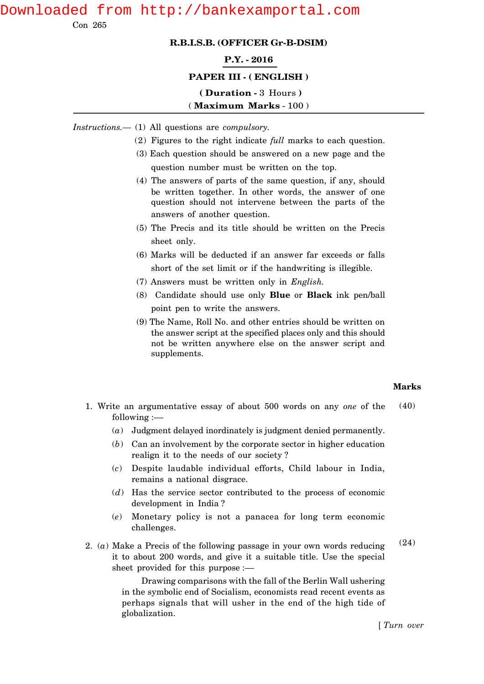# Downloaded from http://bankexamportal.com

Con 265

#### **R.B.I.S.B. (OFFICER Gr-B-DSIM)**

#### **P.Y. - 2016**

#### **PAPER III - ( ENGLISH )**

### **( Duration -** 3 Hours **)** ( **Maximum Marks** - 100 )

- *Instructions.—* (1) All questions are *compulsory.*
	- (2) Figures to the right indicate *full* marks to each question.
	- (3) Each question should be answered on a new page and the question number must be written on the top.
	- (4) The answers of parts of the same question, if any, should be written together. In other words, the answer of one question should not intervene between the parts of the answers of another question.
	- (5) The Precis and its title should be written on the Precis sheet only.
	- (6) Marks will be deducted if an answer far exceeds or falls short of the set limit or if the handwriting is illegible.
	- (7) Answers must be written only in *English.*
	- (8) Candidate should use only **Blue** or **Black** ink pen/ball point pen to write the answers.
	- (9) The Name, Roll No. and other entries should be written on the answer script at the specified places only and this should not be written anywhere else on the answer script and supplements.

## **Marks**

- 1. Write an argumentative essay of about 500 words on any *one* of the  $following:$ (40)
	- (*a*) Judgment delayed inordinately is judgment denied permanently.
	- (*b*) Can an involvement by the corporate sector in higher education realign it to the needs of our society ?
	- (*c*) Despite laudable individual efforts, Child labour in India, remains a national disgrace.
	- (*d*) Has the service sector contributed to the process of economic development in India ?
	- (*e*) Monetary policy is not a panacea for long term economic challenges.
- 2. (*a*) Make a Precis of the following passage in your own words reducing it to about 200 words, and give it a suitable title. Use the special sheet provided for this purpose :— (24)

Drawing comparisons with the fall of the Berlin Wall ushering in the symbolic end of Socialism, economists read recent events as perhaps signals that will usher in the end of the high tide of globalization.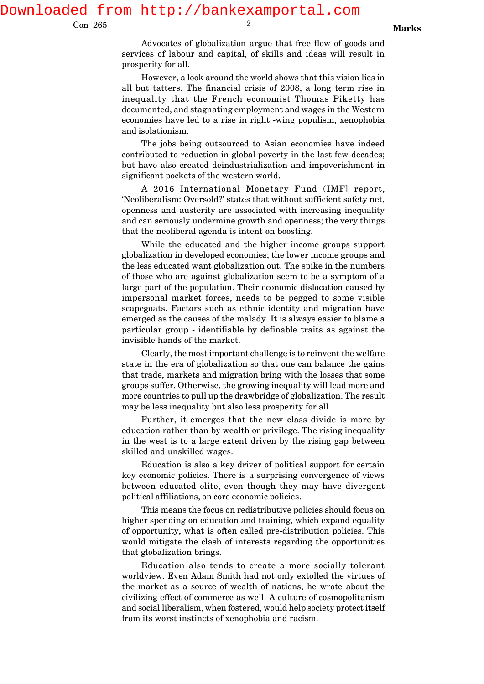Downloaded from http://bankexamportal.com

Con 265

Advocates of globalization argue that free flow of goods and services of labour and capital, of skills and ideas will result in prosperity for all.

However, a look around the world shows that this vision lies in all but tatters. The financial crisis of 2008, a long term rise in inequality that the French economist Thomas Piketty has documented, and stagnating employment and wages in the Western economies have led to a rise in right -wing populism, xenophobia and isolationism.

The jobs being outsourced to Asian economies have indeed contributed to reduction in global poverty in the last few decades; but have also created deindustrialization and impoverishment in significant pockets of the western world.

A 2016 International Monetary Fund (IMF] report, 'Neoliberalism: Oversold?' states that without sufficient safety net, openness and austerity are associated with increasing inequality and can seriously undermine growth and openness; the very things that the neoliberal agenda is intent on boosting.

While the educated and the higher income groups support globalization in developed economies; the lower income groups and the less educated want globalization out. The spike in the numbers of those who are against globalization seem to be a symptom of a large part of the population. Their economic dislocation caused by impersonal market forces, needs to be pegged to some visible scapegoats. Factors such as ethnic identity and migration have emerged as the causes of the malady. It is always easier to blame a particular group - identifiable by definable traits as against the invisible hands of the market.

Clearly, the most important challenge is to reinvent the welfare state in the era of globalization so that one can balance the gains that trade, markets and migration bring with the losses that some groups suffer. Otherwise, the growing inequality will lead more and more countries to pull up the drawbridge of globalization. The result may be less inequality but also less prosperity for all.

Further, it emerges that the new class divide is more by education rather than by wealth or privilege. The rising inequality in the west is to a large extent driven by the rising gap between skilled and unskilled wages.

Education is also a key driver of political support for certain key economic policies. There is a surprising convergence of views between educated elite, even though they may have divergent political affiliations, on core economic policies.

This means the focus on redistributive policies should focus on higher spending on education and training, which expand equality of opportunity, what is often called pre-distribution policies. This would mitigate the clash of interests regarding the opportunities that globalization brings.

Education also tends to create a more socially tolerant worldview. Even Adam Smith had not only extolled the virtues of the market as a source of wealth of nations, he wrote about the civilizing effect of commerce as well. A culture of cosmopolitanism and social liberalism, when fostered, would help society protect itself from its worst instincts of xenophobia and racism.